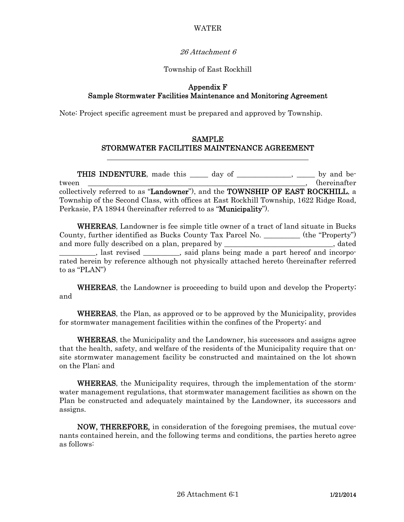## WATER

### 26 Attachment 6

### Township of East Rockhill

### Appendix F Sample Stormwater Facilities Maintenance and Monitoring Agreement

Note: Project specific agreement must be prepared and approved by Township.

## SAMPLE STORMWATER FACILITIES MAINTENANCE AGREEMENT

THIS INDENTURE, made this \_\_\_\_\_ day of \_\_\_\_\_\_\_\_\_\_\_\_, \_\_\_\_\_ by and between tween two controlled the controlled the controlled term of the controlled term of the controlled term of the controlled term of the controlled term of the controlled term of the controlled term of the controlled term collectively referred to as "Landowner"), and the TOWNSHIP OF EAST ROCKHILL, a Township of the Second Class, with offices at East Rockhill Township, 1622 Ridge Road, Perkasie, PA 18944 (hereinafter referred to as "**Municipality**").

 WHEREAS, Landowner is fee simple title owner of a tract of land situate in Bucks County, further identified as Bucks County Tax Parcel No. \_\_\_\_\_\_\_\_\_\_ (the "Property") and more fully described on a plan, prepared by \_\_\_\_\_\_\_\_\_\_\_\_\_\_\_\_\_\_\_\_\_\_\_, dated all the same of and incorportional contract the said plans being made a part hereof and incorporated herein by reference although not physically attached hereto (hereinafter referred to as "PLAN")

WHEREAS, the Landowner is proceeding to build upon and develop the Property; and

 WHEREAS, the Plan, as approved or to be approved by the Municipality, provides for stormwater management facilities within the confines of the Property; and

WHEREAS, the Municipality and the Landowner, his successors and assigns agree that the health, safety, and welfare of the residents of the Municipality require that onsite stormwater management facility be constructed and maintained on the lot shown on the Plan; and

 WHEREAS, the Municipality requires, through the implementation of the stormwater management regulations, that stormwater management facilities as shown on the Plan be constructed and adequately maintained by the Landowner, its successors and assigns.

 NOW, THEREFORE, in consideration of the foregoing premises, the mutual covenants contained herein, and the following terms and conditions, the parties hereto agree as follows: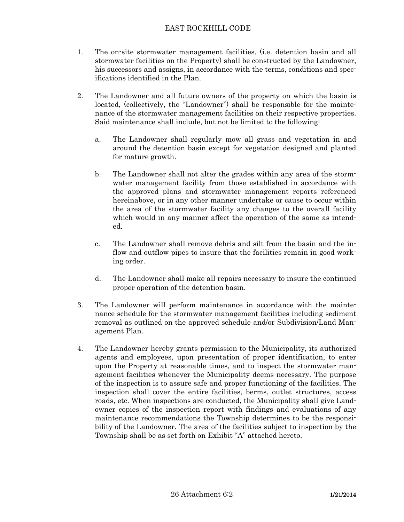## EAST ROCKHILL CODE

- 1. The on-site stormwater management facilities, (i.e. detention basin and all stormwater facilities on the Property) shall be constructed by the Landowner, his successors and assigns, in accordance with the terms, conditions and specifications identified in the Plan.
- 2. The Landowner and all future owners of the property on which the basin is located, (collectively, the "Landowner") shall be responsible for the maintenance of the stormwater management facilities on their respective properties. Said maintenance shall include, but not be limited to the following:
	- a. The Landowner shall regularly mow all grass and vegetation in and around the detention basin except for vegetation designed and planted for mature growth.
	- b. The Landowner shall not alter the grades within any area of the stormwater management facility from those established in accordance with the approved plans and stormwater management reports referenced hereinabove, or in any other manner undertake or cause to occur within the area of the stormwater facility any changes to the overall facility which would in any manner affect the operation of the same as intended.
	- c. The Landowner shall remove debris and silt from the basin and the inflow and outflow pipes to insure that the facilities remain in good working order.
	- d. The Landowner shall make all repairs necessary to insure the continued proper operation of the detention basin.
- 3. The Landowner will perform maintenance in accordance with the maintenance schedule for the stormwater management facilities including sediment removal as outlined on the approved schedule and/or Subdivision/Land Management Plan.
- 4. The Landowner hereby grants permission to the Municipality, its authorized agents and employees, upon presentation of proper identification, to enter upon the Property at reasonable times, and to inspect the stormwater management facilities whenever the Municipality deems necessary. The purpose of the inspection is to assure safe and proper functioning of the facilities. The inspection shall cover the entire facilities, berms, outlet structures, access roads, etc. When inspections are conducted, the Municipality shall give Landowner copies of the inspection report with findings and evaluations of any maintenance recommendations the Township determines to be the responsibility of the Landowner. The area of the facilities subject to inspection by the Township shall be as set forth on Exhibit "A" attached hereto.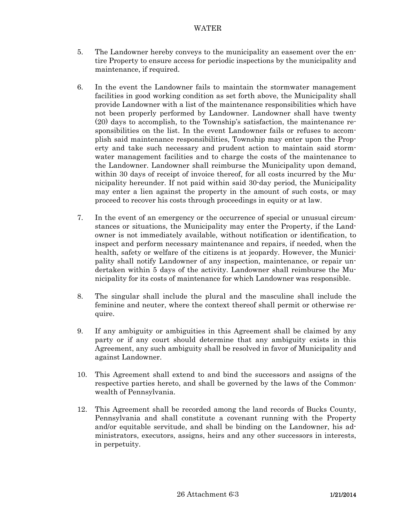### WATER

- 5. The Landowner hereby conveys to the municipality an easement over the entire Property to ensure access for periodic inspections by the municipality and maintenance, if required.
- 6. In the event the Landowner fails to maintain the stormwater management facilities in good working condition as set forth above, the Municipality shall provide Landowner with a list of the maintenance responsibilities which have not been properly performed by Landowner. Landowner shall have twenty (20) days to accomplish, to the Township's satisfaction, the maintenance responsibilities on the list. In the event Landowner fails or refuses to accomplish said maintenance responsibilities, Township may enter upon the Property and take such necessary and prudent action to maintain said stormwater management facilities and to charge the costs of the maintenance to the Landowner. Landowner shall reimburse the Municipality upon demand, within 30 days of receipt of invoice thereof, for all costs incurred by the Municipality hereunder. If not paid within said 30-day period, the Municipality may enter a lien against the property in the amount of such costs, or may proceed to recover his costs through proceedings in equity or at law.
- 7. In the event of an emergency or the occurrence of special or unusual circumstances or situations, the Municipality may enter the Property, if the Landowner is not immediately available, without notification or identification, to inspect and perform necessary maintenance and repairs, if needed, when the health, safety or welfare of the citizens is at jeopardy. However, the Municipality shall notify Landowner of any inspection, maintenance, or repair undertaken within 5 days of the activity. Landowner shall reimburse the Municipality for its costs of maintenance for which Landowner was responsible.
- 8. The singular shall include the plural and the masculine shall include the feminine and neuter, where the context thereof shall permit or otherwise require.
- 9. If any ambiguity or ambiguities in this Agreement shall be claimed by any party or if any court should determine that any ambiguity exists in this Agreement, any such ambiguity shall be resolved in favor of Municipality and against Landowner.
- 10. This Agreement shall extend to and bind the successors and assigns of the respective parties hereto, and shall be governed by the laws of the Commonwealth of Pennsylvania.
- 12. This Agreement shall be recorded among the land records of Bucks County, Pennsylvania and shall constitute a covenant running with the Property and/or equitable servitude, and shall be binding on the Landowner, his administrators, executors, assigns, heirs and any other successors in interests, in perpetuity.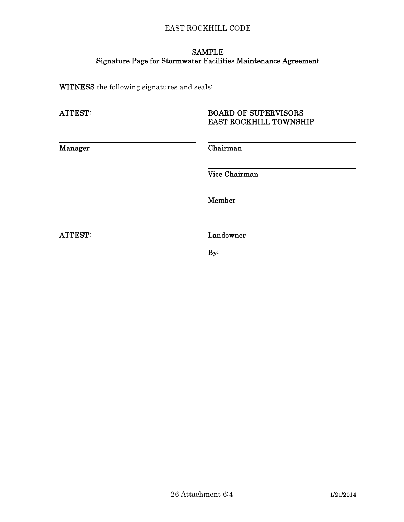# EAST ROCKHILL CODE

# SAMPLE Signature Page for Stormwater Facilities Maintenance Agreement

WITNESS the following signatures and seals:

| <b>ATTEST:</b> | <b>BOARD OF SUPERVISORS</b><br><b>EAST ROCKHILL TOWNSHIP</b> |
|----------------|--------------------------------------------------------------|
| <b>Manager</b> | Chairman                                                     |
|                | Vice Chairman                                                |
|                | Member                                                       |
| <b>ATTEST:</b> | Landowner                                                    |
|                | By:                                                          |